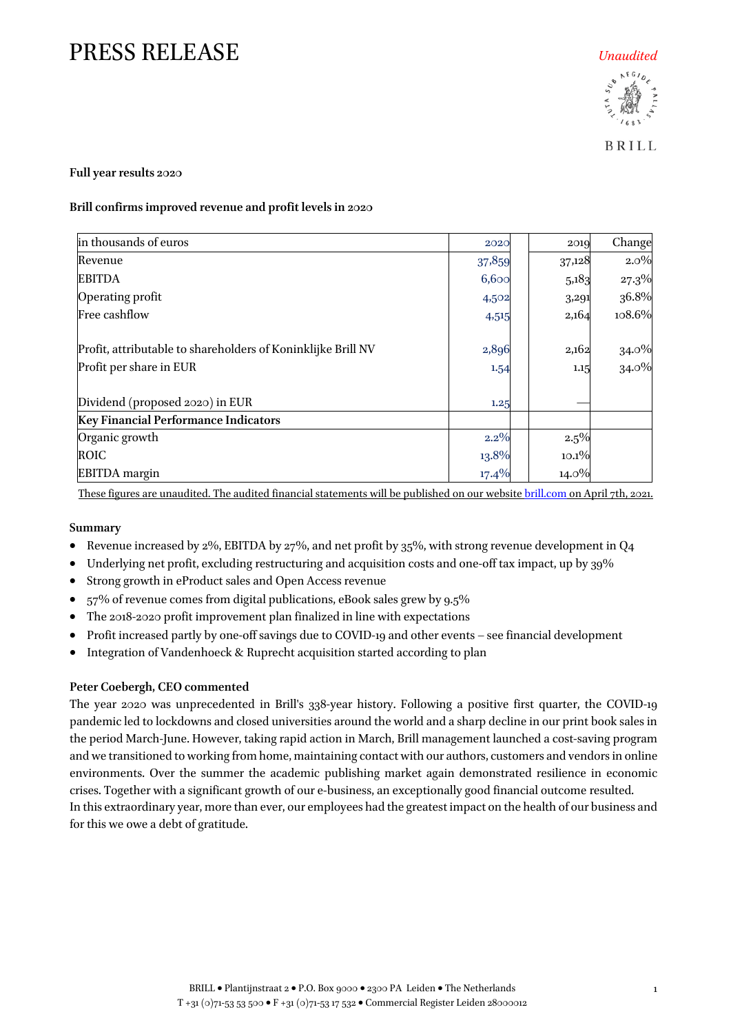**BRILL** 

1

### **Full year results 2020**

### **Brill confirmsimproved revenue and profit levelsin 2020**

| in thousands of euros                                        | 2020    | 2019     | Change         |
|--------------------------------------------------------------|---------|----------|----------------|
| Revenue                                                      | 37,859  | 37,128   | $2.0\%$        |
| <b>EBITDA</b>                                                | 6,600   | 5,183    | $27.3\%$       |
| Operating profit                                             | 4,502   | 3,291    | 36.8%          |
| Free cashflow                                                | 4,515   | 2,164    | 108.6%         |
| Profit, attributable to shareholders of Koninklijke Brill NV | 2,896   | 2,162    |                |
| Profit per share in EUR                                      | 1.54    | 1.15     | 34.0%<br>34.0% |
| Dividend (proposed 2020) in EUR                              | 1.25    |          |                |
| <b>Key Financial Performance Indicators</b>                  |         |          |                |
| Organic growth                                               | $2.2\%$ | 2.5%     |                |
| <b>ROIC</b>                                                  | 13.8%   | 10.1%    |                |
| <b>EBITDA</b> margin                                         | 17.4%   | $14.0\%$ |                |

These figures are unaudited. The audited financial statements will be published on our websit[e brill.com](http://www.brill.com/) on April 7th, 2021.

### **Summary**

- Revenue increased by 2%, EBITDA by 27%, and net profit by 35%, with strong revenue development in Q4
- Underlying net profit, excluding restructuring and acquisition costs and one-off tax impact, up by 39%
- Strong growth in eProduct sales and Open Access revenue
- 57% of revenue comes from digital publications, eBook sales grew by 9.5%
- The 2018-2020 profit improvement plan finalized in line with expectations
- Profit increased partly by one-off savings due to COVID-19 and other events see financial development
- Integration of Vandenhoeck & Ruprecht acquisition started according to plan

### **Peter Coebergh, CEO commented**

The year 2020 was unprecedented in Brill's 338-year history. Following a positive first quarter, the COVID-19 pandemic led to lockdowns and closed universities around the world and a sharp decline in our print book sales in the period March-June. However, taking rapid action in March, Brill management launched a cost-saving program and we transitioned to working from home, maintaining contact with our authors, customers and vendors in online environments. Over the summer the academic publishing market again demonstrated resilience in economic crises. Together with a significant growth of our e-business, an exceptionally good financial outcome resulted. In this extraordinary year, more than ever, our employees had the greatest impact on the health of our business and for this we owe a debt of gratitude.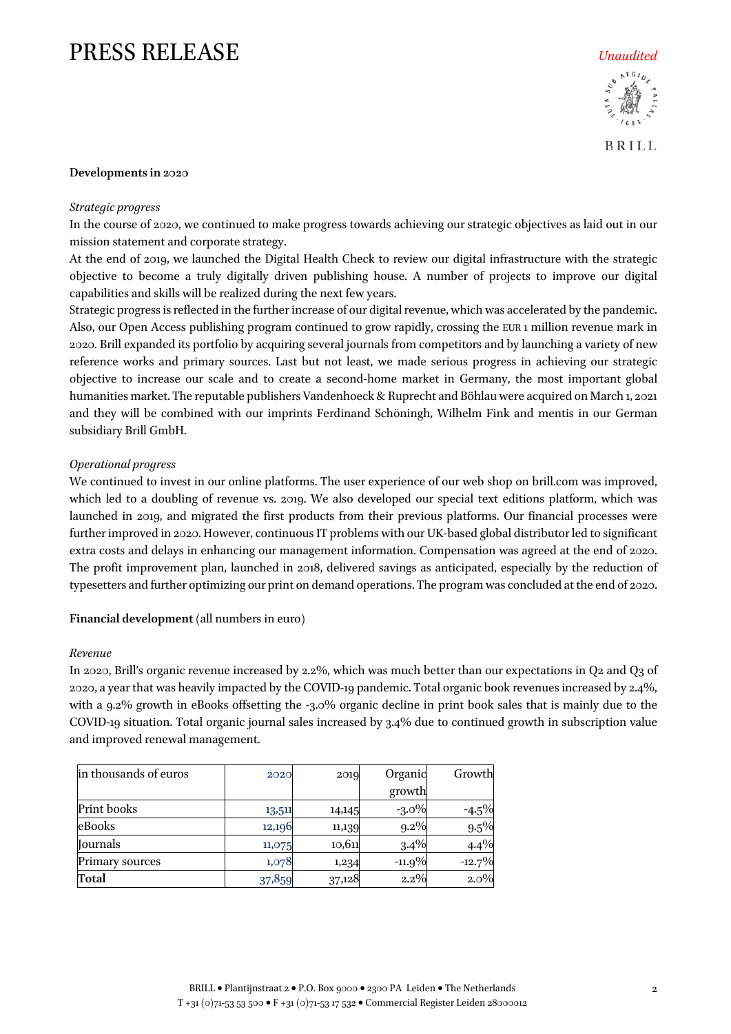

**BRILL** 

#### **Developments in 2020**

#### *Strategic progress*

In the course of 2020, we continued to make progress towards achieving our strategic objectives as laid out in our mission statement and corporate strategy.

At the end of 2019, we launched the Digital Health Check to review our digital infrastructure with the strategic objective to become a truly digitally driven publishing house. A number of projects to improve our digital capabilities and skills will be realized during the next few years.

Strategic progress is reflected in the further increase of our digital revenue, which was accelerated by the pandemic. Also, our Open Access publishing program continued to grow rapidly, crossing the EUR 1 million revenue mark in 2020. Brill expanded its portfolio by acquiring several journals from competitors and by launching a variety of new reference works and primary sources. Last but not least, we made serious progress in achieving our strategic objective to increase our scale and to create a second-home market in Germany, the most important global humanities market. The reputable publishers Vandenhoeck & Ruprecht and Böhlau were acquired on March 1, 2021 and they will be combined with our imprints Ferdinand Schöningh, Wilhelm Fink and mentis in our German subsidiary Brill GmbH.

#### *Operational progress*

We continued to invest in our online platforms. The user experience of our web shop on brill.com was improved, which led to a doubling of revenue vs. 2019. We also developed our special text editions platform, which was launched in 2019, and migrated the first products from their previous platforms. Our financial processes were further improved in 2020. However, continuous IT problems with our UK-based global distributor led to significant extra costs and delays in enhancing our management information. Compensation was agreed at the end of 2020. The profit improvement plan, launched in 2018, delivered savings as anticipated, especially by the reduction of typesetters and further optimizing our print on demand operations. The program was concluded at the end of 2020.

**Financial development** (all numbers in euro)

#### *Revenue*

In 2020, Brill's organic revenue increased by 2.2%, which was much better than our expectations in Q2 and Q3 of 2020, a year that was heavily impacted by the COVID-19 pandemic. Total organic book revenues increased by 2.4%, with a 9.2% growth in eBooks offsetting the -3.0% organic decline in print book sales that is mainly due to the COVID-19 situation. Total organic journal sales increased by 3.4% due to continued growth in subscription value and improved renewal management.

| in thousands of euros | 2020   | 2019   | Organic  | Growth   |
|-----------------------|--------|--------|----------|----------|
|                       |        |        | growth   |          |
| Print books           | 13,511 | 14,145 | $-3.0\%$ | -4.5%    |
| eBooks                | 12,196 | 11,139 | $9.2\%$  | $9.5\%$  |
| <b>Iournals</b>       | 11,075 | 10,611 | 3.4%     | 4.4%     |
| Primary sources       | 1,078  | 1,234  | $-11.9%$ | $-12.7%$ |
| Total                 | 37,859 | 37,128 | $2.2\%$  | 2.0%     |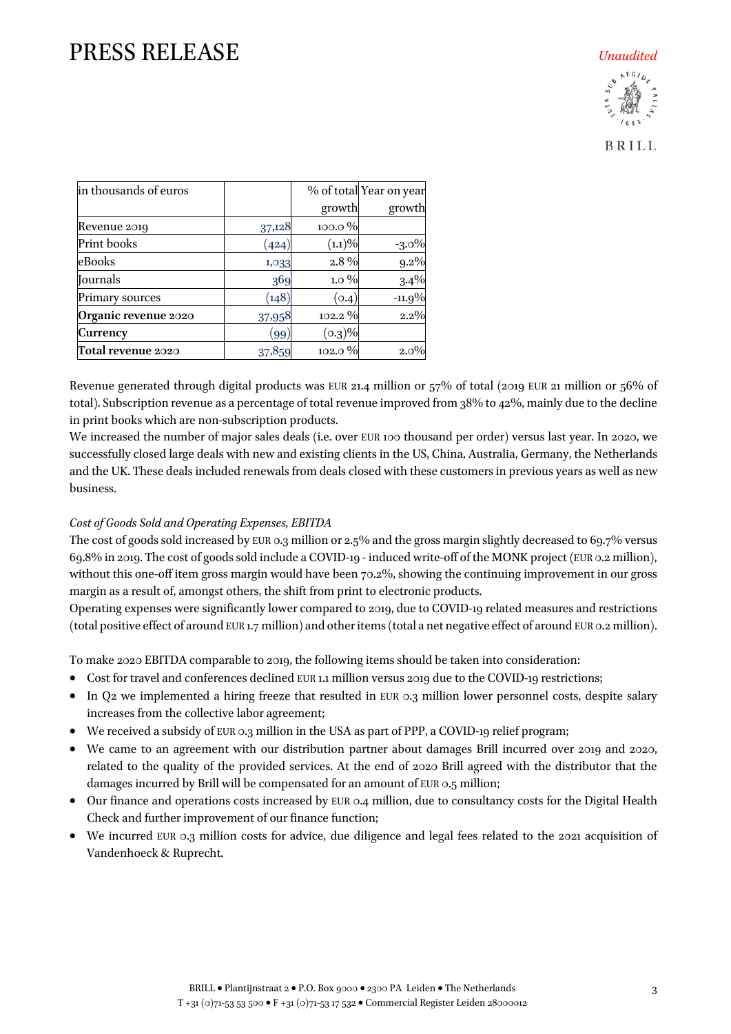**BRILL** 

| in thousands of euros |        |           | % of total Year on year |
|-----------------------|--------|-----------|-------------------------|
|                       |        | growth    | growth                  |
| Revenue 2019          | 37,128 | 100.0%    |                         |
| Print books           | (424)  | $(1.1)\%$ | $-3.0\%$                |
| eBooks                | 1,033  | 2.8%      | $9.2\%$                 |
| Journals              | 369    | $1.0\%$   | 3.4%                    |
| Primary sources       | (148)  | (0.4)     | $-11.9%$                |
| Organic revenue 2020  | 37,958 | 102.2 %   | 2.2%                    |
| <b>Currency</b>       | (99)   | $(0.3)\%$ |                         |
| Total revenue 2020    | 37,859 | 102.0%    | $2.0\%$                 |

Revenue generated through digital products was EUR 21.4 million or 57% of total (2019 EUR 21 million or 56% of total). Subscription revenue as a percentage of total revenue improved from 38% to 42%, mainly due to the decline in print books which are non-subscription products.

We increased the number of major sales deals (i.e. over EUR 100 thousand per order) versus last year. In 2020, we successfully closed large deals with new and existing clients in the US, China, Australia, Germany, the Netherlands and the UK. These deals included renewals from deals closed with these customers in previous years as well as new business.

### *Cost of Goods Sold and Operating Expenses, EBITDA*

The cost of goods sold increased by EUR 0.3 million or 2.5% and the gross margin slightly decreased to 69.7% versus 69.8% in 2019. The cost of goods sold include a COVID-19 - induced write-off of the MONK project (EUR 0.2 million), without this one-off item gross margin would have been  $70.2\%$ , showing the continuing improvement in our gross margin as a result of, amongst others, the shift from print to electronic products.

Operating expenses were significantly lower compared to 2019, due to COVID-19 related measures and restrictions (total positive effect of around EUR 1.7 million) and other items (total a net negative effect of around EUR 0.2 million).

To make 2020 EBITDA comparable to 2019, the following items should be taken into consideration:

- Cost for travel and conferences declined EUR 1.1 million versus 2019 due to the COVID-19 restrictions;
- In Q2 we implemented a hiring freeze that resulted in EUR 0.3 million lower personnel costs, despite salary increases from the collective labor agreement;
- We received a subsidy of EUR 0.3 million in the USA as part of PPP, a COVID-19 relief program;
- We came to an agreement with our distribution partner about damages Brill incurred over 2019 and 2020, related to the quality of the provided services. At the end of 2020 Brill agreed with the distributor that the damages incurred by Brill will be compensated for an amount of EUR 0.5 million;
- Our finance and operations costs increased by EUR 0.4 million, due to consultancy costs for the Digital Health Check and further improvement of our finance function;
- We incurred EUR 0.3 million costs for advice, due diligence and legal fees related to the 2021 acquisition of Vandenhoeck & Ruprecht.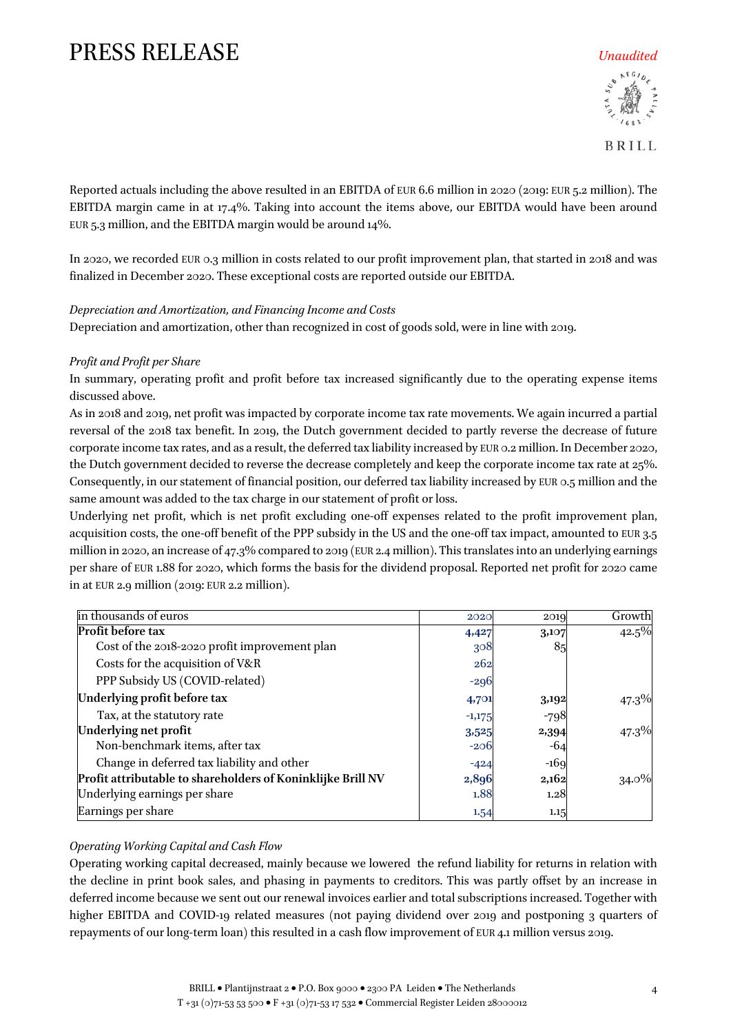

**BRILL** 

Reported actuals including the above resulted in an EBITDA of EUR 6.6 million in 2020 (2019: EUR 5.2 million). The EBITDA margin came in at 17.4%. Taking into account the items above, our EBITDA would have been around EUR 5.3 million, and the EBITDA margin would be around 14%.

In 2020, we recorded EUR 0.3 million in costs related to our profit improvement plan, that started in 2018 and was finalized in December 2020. These exceptional costs are reported outside our EBITDA.

### *Depreciation and Amortization, and Financing Income and Costs*

Depreciation and amortization, other than recognized in cost of goods sold, were in line with 2019.

### *Profit and Profit per Share*

In summary, operating profit and profit before tax increased significantly due to the operating expense items discussed above.

As in 2018 and 2019, net profit was impacted by corporate income tax rate movements. We again incurred a partial reversal of the 2018 tax benefit. In 2019, the Dutch government decided to partly reverse the decrease of future corporate income tax rates, and as a result, the deferred tax liability increased by EUR 0.2 million. In December 2020, the Dutch government decided to reverse the decrease completely and keep the corporate income tax rate at 25%. Consequently, in our statement of financial position, our deferred tax liability increased by EUR 0.5 million and the same amount was added to the tax charge in our statement of profit or loss.

Underlying net profit, which is net profit excluding one-off expenses related to the profit improvement plan, acquisition costs, the one-off benefit of the PPP subsidy in the US and the one-off tax impact, amounted to EUR 3.5 million in 2020, an increase of 47.3% compared to 2019 (EUR 2.4 million). This translates into an underlying earnings per share of EUR 1.88 for 2020, which forms the basis for the dividend proposal. Reported net profit for 2020 came in at EUR 2.9 million (2019: EUR 2.2 million).

| in thousands of euros                                       | 2020     | 2019   | Growth   |
|-------------------------------------------------------------|----------|--------|----------|
| <b>Profit before tax</b>                                    | 4,427    | 3,107  | 42.5%    |
| Cost of the 2018-2020 profit improvement plan               | 308      | 85     |          |
| Costs for the acquisition of V&R                            | 262      |        |          |
| PPP Subsidy US (COVID-related)                              | $-296$   |        |          |
| Underlying profit before tax                                | 4,701    | 3,192  | $47.3\%$ |
| Tax, at the statutory rate                                  | $-1,175$ | $-798$ |          |
| Underlying net profit                                       | 3,525    | 2,394  | $47.3\%$ |
| Non-benchmark items, after tax                              | $-206$   | -64    |          |
| Change in deferred tax liability and other                  | $-424$   | $-169$ |          |
| Profit attributable to shareholders of Koninklijke Brill NV | 2,896    | 2,162  | $34.0\%$ |
| Underlying earnings per share                               | 1.88     | 1.28   |          |
| Earnings per share                                          | 1.54     | 1.15   |          |

### *Operating Working Capital and Cash Flow*

Operating working capital decreased, mainly because we lowered the refund liability for returns in relation with the decline in print book sales, and phasing in payments to creditors. This was partly offset by an increase in deferred income because we sent out our renewal invoices earlier and total subscriptions increased. Together with higher EBITDA and COVID-19 related measures (not paying dividend over 2019 and postponing 3 quarters of repayments of our long-term loan) this resulted in a cash flow improvement of EUR 4.1 million versus 2019.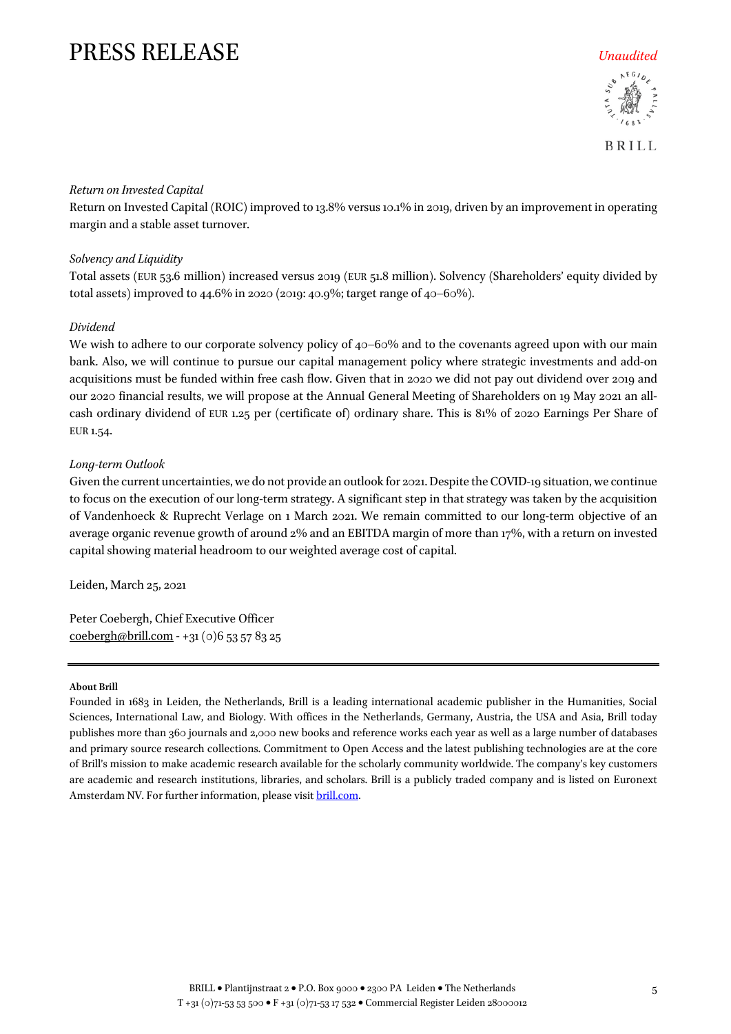

**BRILL** 

### *Return on Invested Capital*

Return on Invested Capital (ROIC) improved to 13.8% versus 10.1% in 2019, driven by an improvement in operating margin and a stable asset turnover.

### *Solvency and Liquidity*

Total assets (EUR 53.6 million) increased versus 2019 (EUR 51.8 million). Solvency (Shareholders' equity divided by total assets) improved to 44.6% in 2020 (2019: 40.9%; target range of 40–60%).

### *Dividend*

We wish to adhere to our corporate solvency policy of  $40-60\%$  and to the covenants agreed upon with our main bank. Also, we will continue to pursue our capital management policy where strategic investments and add-on acquisitions must be funded within free cash flow. Given that in 2020 we did not pay out dividend over 2019 and our 2020 financial results, we will propose at the Annual General Meeting of Shareholders on 19 May 2021 an allcash ordinary dividend of EUR 1.25 per (certificate of) ordinary share. This is 81% of 2020 Earnings Per Share of EUR 1.54.

### *Long-term Outlook*

Given the current uncertainties, we do not provide an outlook for 2021. Despite the COVID-19 situation, we continue to focus on the execution of our long-term strategy. A significant step in that strategy was taken by the acquisition of Vandenhoeck & Ruprecht Verlage on 1 March 2021. We remain committed to our long-term objective of an average organic revenue growth of around 2% and an EBITDA margin of more than 17%, with a return on invested capital showing material headroom to our weighted average cost of capital.

Leiden, March 25, 2021

Peter Coebergh, Chief Executive Officer [coebergh@brill.com](mailto:coebergh@brill.com) - +31 (0)6 53 57 83 25

#### **About Brill**

Founded in 1683 in Leiden, the Netherlands, Brill is a leading international academic publisher in the Humanities, Social Sciences, International Law, and Biology. With offices in the Netherlands, Germany, Austria, the USA and Asia, Brill today publishes more than 360 journals and 2,000 new books and reference works each year as well as a large number of databases and primary source research collections. Commitment to Open Access and the latest publishing technologies are at the core of Brill's mission to make academic research available for the scholarly community worldwide. The company's key customers are academic and research institutions, libraries, and scholars. Brill is a publicly traded company and is listed on Euronext Amsterdam NV. For further information, please visit [brill.com.](https://brill.com/)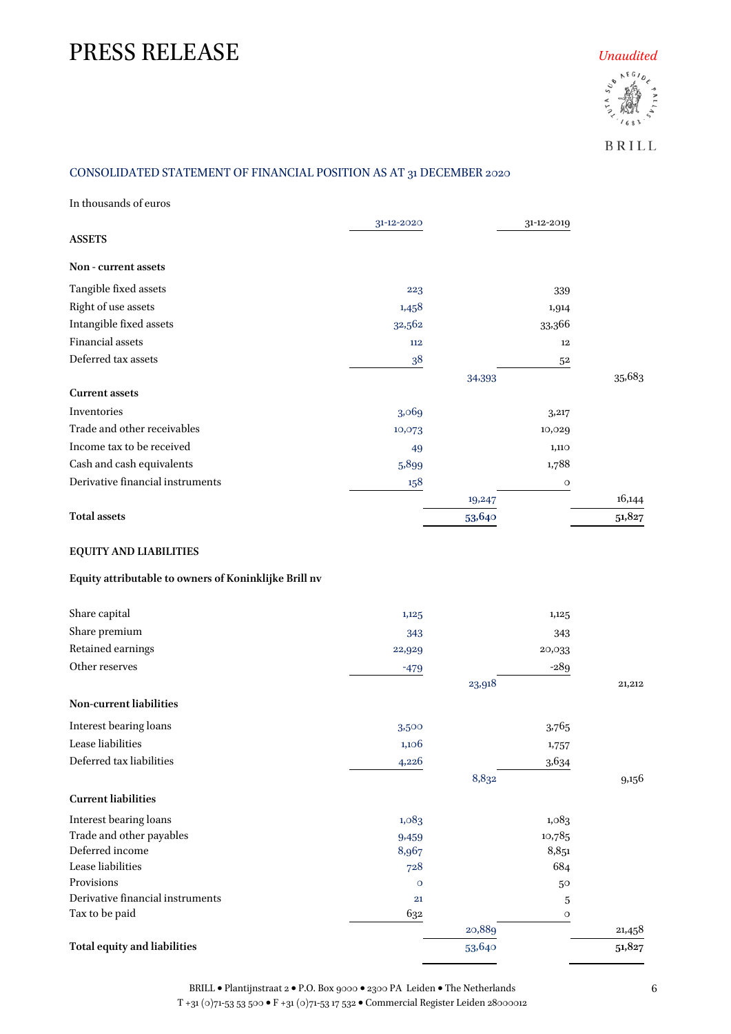

BRILL

### CONSOLIDATED STATEMENT OF FINANCIAL POSITION AS AT 31 DECEMBER 2020

In thousands of euros

| <b>ASSETS</b>                    | 31-12-2020 |        | 31-12-2019 |        |
|----------------------------------|------------|--------|------------|--------|
| Non - current assets             |            |        |            |        |
| Tangible fixed assets            | 223        |        | 339        |        |
| Right of use assets              | 1,458      |        | 1,914      |        |
| Intangible fixed assets          | 32,562     |        | 33,366     |        |
| <b>Financial assets</b>          | 112        |        | 12         |        |
| Deferred tax assets              | 38         |        | 52         |        |
|                                  |            | 34,393 |            | 35,683 |
| <b>Current assets</b>            |            |        |            |        |
| Inventories                      | 3,069      |        | 3,217      |        |
| Trade and other receivables      | 10,073     |        | 10,029     |        |
| Income tax to be received        | 49         |        | 1,110      |        |
| Cash and cash equivalents        | 5,899      |        | 1,788      |        |
| Derivative financial instruments | 158        |        | $\circ$    |        |
|                                  |            | 19,247 |            | 16,144 |
| <b>Total assets</b>              |            | 53,640 |            | 51,827 |

### **EQUITY AND LIABILITIES**

### **Equity attributable to owners of Koninklijke Brill nv**

| Share capital                       | 1,125   |        | 1,125   |        |
|-------------------------------------|---------|--------|---------|--------|
| Share premium                       | 343     |        | 343     |        |
| Retained earnings                   | 22,929  |        | 20,033  |        |
| Other reserves                      | $-479$  |        | $-289$  |        |
|                                     |         | 23,918 |         | 21,212 |
| Non-current liabilities             |         |        |         |        |
| Interest bearing loans              | 3,500   |        | 3,765   |        |
| Lease liabilities                   | 1,106   |        | 1,757   |        |
| Deferred tax liabilities            | 4,226   |        | 3,634   |        |
|                                     |         | 8,832  |         | 9,156  |
| <b>Current liabilities</b>          |         |        |         |        |
| Interest bearing loans              | 1,083   |        | 1,083   |        |
| Trade and other payables            | 9,459   |        | 10,785  |        |
| Deferred income                     | 8,967   |        | 8,851   |        |
| Lease liabilities                   | 728     |        | 684     |        |
| Provisions                          | $\circ$ |        | 50      |        |
| Derivative financial instruments    | 21      |        | 5       |        |
| Tax to be paid                      | 632     |        | $\circ$ |        |
|                                     |         | 20,889 |         | 21,458 |
| <b>Total equity and liabilities</b> |         | 53,640 |         | 51,827 |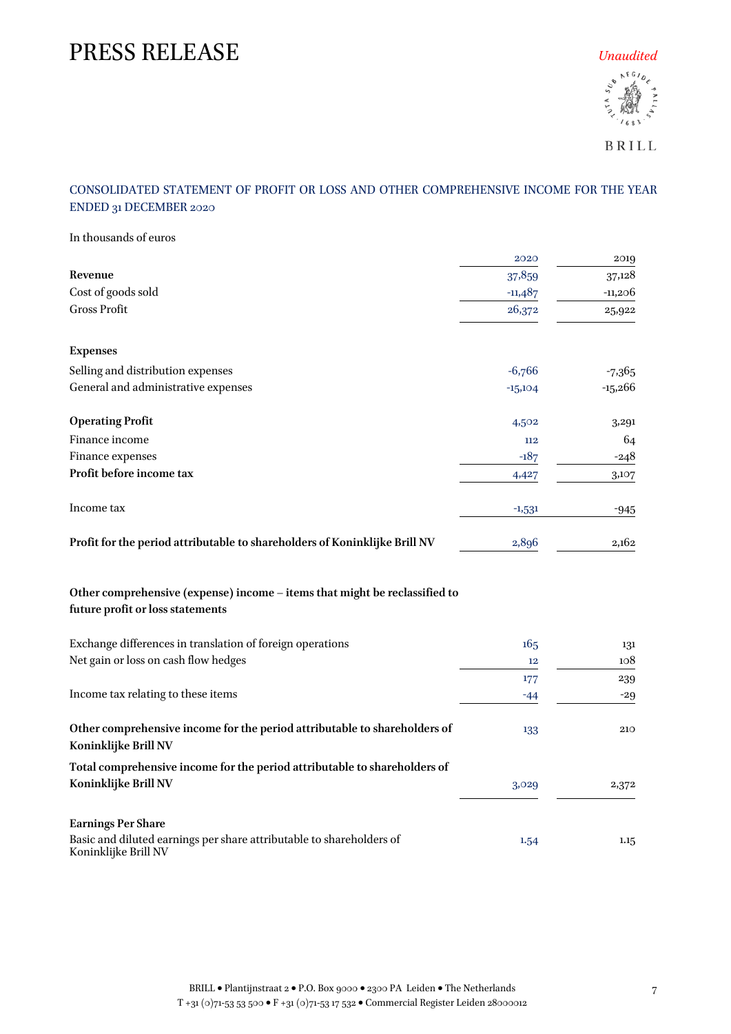

BRILL

### CONSOLIDATED STATEMENT OF PROFIT OR LOSS AND OTHER COMPREHENSIVE INCOME FOR THE YEAR ENDED 31 DECEMBER 2020

| In thousands of euros                                                                                          |           |           |
|----------------------------------------------------------------------------------------------------------------|-----------|-----------|
|                                                                                                                | 2020      | 2019      |
| Revenue                                                                                                        | 37,859    | 37,128    |
| Cost of goods sold                                                                                             | $-11,487$ | $-11,206$ |
| <b>Gross Profit</b>                                                                                            | 26,372    | 25,922    |
| <b>Expenses</b>                                                                                                |           |           |
| Selling and distribution expenses                                                                              | $-6,766$  | $-7,365$  |
| General and administrative expenses                                                                            | $-15,104$ | $-15,266$ |
| <b>Operating Profit</b>                                                                                        | 4,502     | 3,291     |
| Finance income                                                                                                 | 112       | 64        |
| Finance expenses                                                                                               | $-187$    | -248      |
| Profit before income tax                                                                                       | 4,427     | 3,107     |
| Income tax                                                                                                     | $-1,531$  | -945      |
| Profit for the period attributable to shareholders of Koninklijke Brill NV                                     | 2,896     | 2,162     |
| Other comprehensive (expense) income – items that might be reclassified to<br>future profit or loss statements |           |           |
| Exchange differences in translation of foreign operations                                                      | 165       | 131       |
| Net gain or loss on cash flow hedges                                                                           | 12        | 108       |
|                                                                                                                | 177       | 239       |
| Income tax relating to these items                                                                             | $-44$     | $-29$     |
| Other comprehensive income for the period attributable to shareholders of<br>Koninklijke Brill NV              | 133       | 210       |
| Total comprehensive income for the period attributable to shareholders of<br>Koninklijke Brill NV              | 3,029     | 2,372     |
| <b>Earnings Per Share</b><br>Basic and diluted earnings per share attributable to shareholders of              | 1.54      | 1.15      |
| Koninklijke Brill NV                                                                                           |           |           |